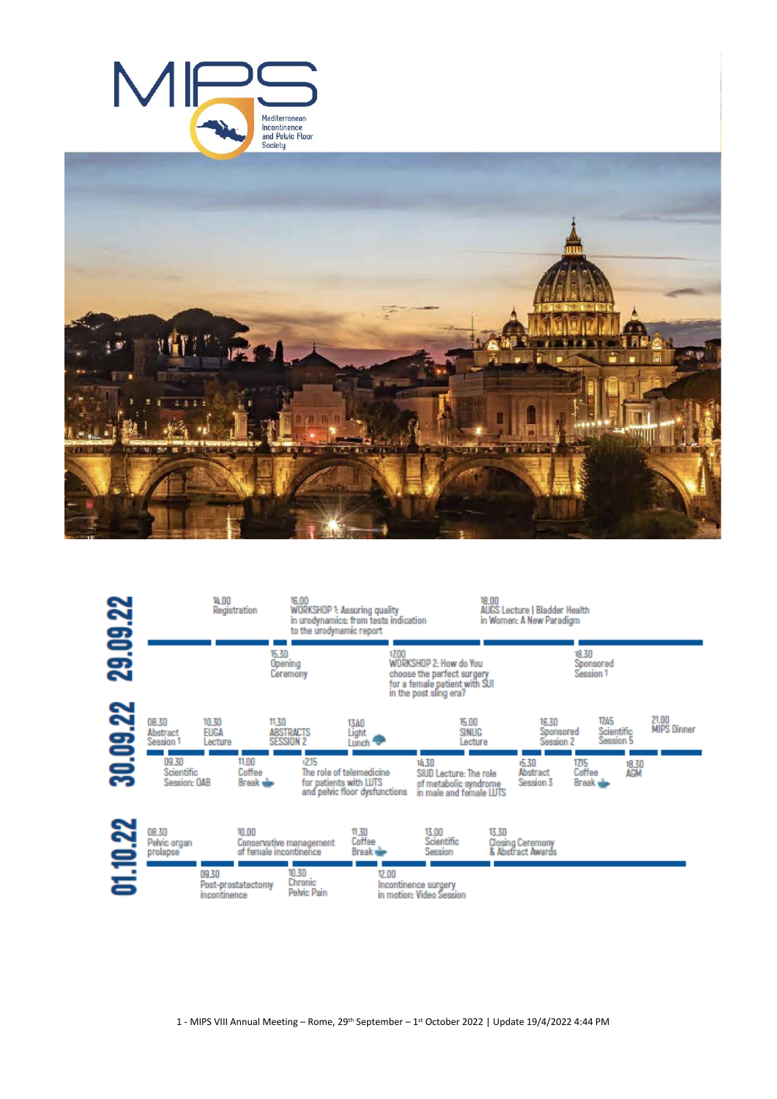





- MIPS VIII Annual Meeting – Rome, 29th September – 1 st October 2022 | Update 19/4/2022 4:44 PM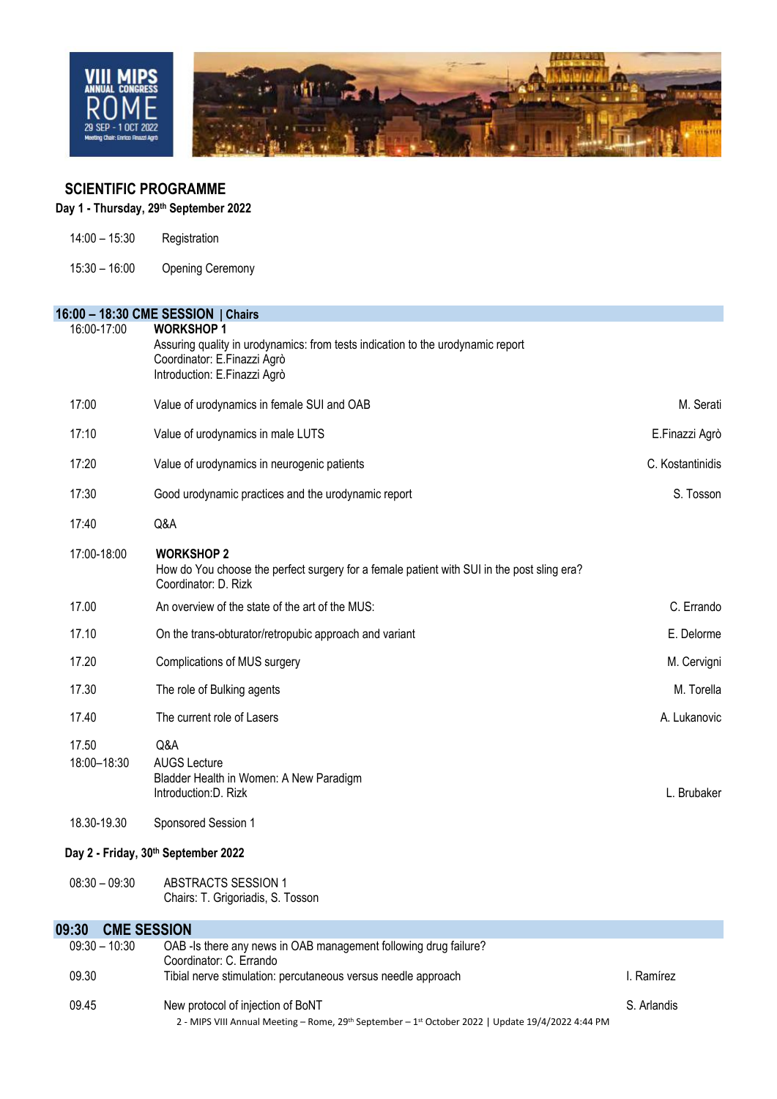

# **SCIENTIFIC PROGRAMME**

# **Day 1 - Thursday, 29th September 2022**

- 14:00 15:30 Registration
- 15:30 16:00 Opening Ceremony

|                      | 16:00 - 18:30 CME SESSION   Chairs                                                                                                                                 |                  |
|----------------------|--------------------------------------------------------------------------------------------------------------------------------------------------------------------|------------------|
| 16:00-17:00          | <b>WORKSHOP1</b><br>Assuring quality in urodynamics: from tests indication to the urodynamic report<br>Coordinator: E.Finazzi Agrò<br>Introduction: E.Finazzi Agrò |                  |
| 17:00                | Value of urodynamics in female SUI and OAB                                                                                                                         | M. Serati        |
| 17:10                | Value of urodynamics in male LUTS                                                                                                                                  | E.Finazzi Agrò   |
| 17:20                | Value of urodynamics in neurogenic patients                                                                                                                        | C. Kostantinidis |
| 17:30                | Good urodynamic practices and the urodynamic report                                                                                                                | S. Tosson        |
| 17:40                | Q&A                                                                                                                                                                |                  |
| 17:00-18:00          | <b>WORKSHOP 2</b><br>How do You choose the perfect surgery for a female patient with SUI in the post sling era?<br>Coordinator: D. Rizk                            |                  |
| 17.00                | An overview of the state of the art of the MUS:                                                                                                                    | C. Errando       |
| 17.10                | On the trans-obturator/retropubic approach and variant                                                                                                             | E. Delorme       |
| 17.20                | Complications of MUS surgery                                                                                                                                       | M. Cervigni      |
| 17.30                | The role of Bulking agents                                                                                                                                         | M. Torella       |
| 17.40                | The current role of Lasers                                                                                                                                         | A. Lukanovic     |
| 17.50<br>18:00-18:30 | Q&A<br><b>AUGS Lecture</b><br>Bladder Health in Women: A New Paradigm<br>Introduction: D. Rizk                                                                     | L. Brubaker      |
| 18.30-19.30          | Sponsored Session 1                                                                                                                                                |                  |
|                      | Day 2 - Friday, 30th September 2022                                                                                                                                |                  |
| $08:30 - 09:30$      | <b>ABSTRACTS SESSION 1</b><br>Chairs: T. Grigoriadis, S. Tosson                                                                                                    |                  |
| 09:30                | <b>CME SESSION</b>                                                                                                                                                 |                  |
| $09:30 - 10:30$      | OAB -Is there any news in OAB management following drug failure?<br>Coordinator: C. Errando                                                                        |                  |
| 09.30                | Tibial nerve stimulation: percutaneous versus needle approach                                                                                                      | I. Ramírez       |
| 09.45                | New protocol of injection of BoNT                                                                                                                                  | S. Arlandis      |

2 - MIPS VIII Annual Meeting – Rome, 29<sup>th</sup> September – 1<sup>st</sup> October 2022 | Update 19/4/2022 4:44 PM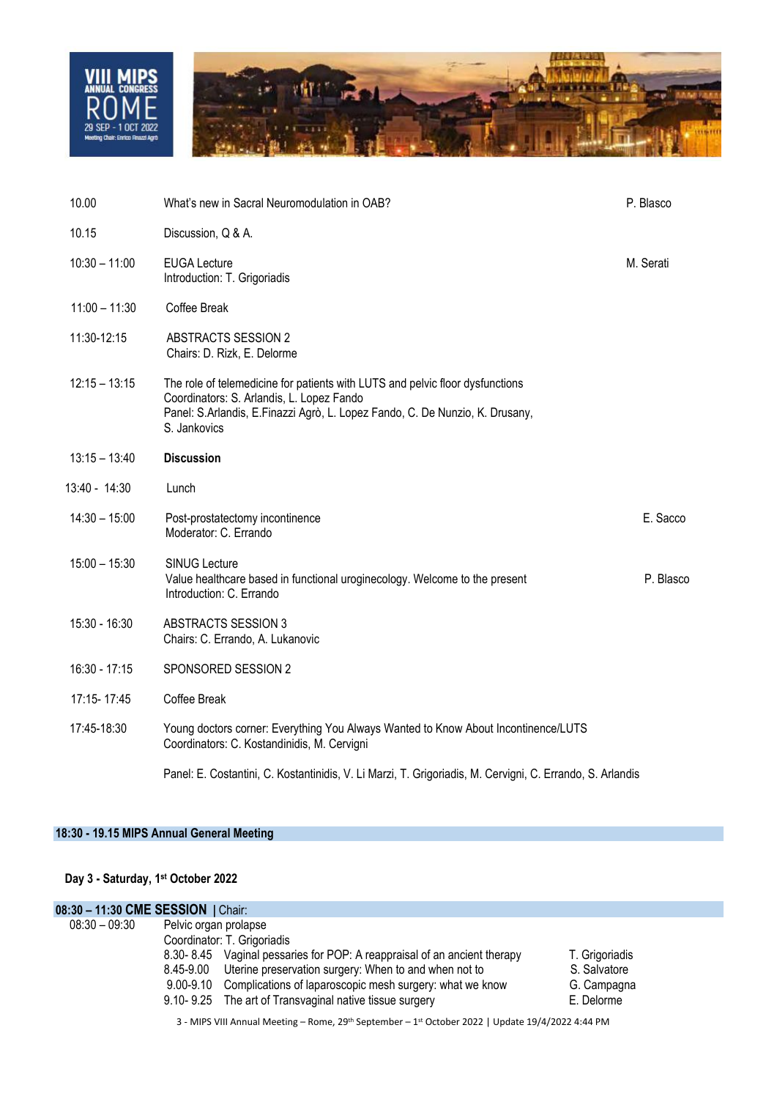

| 10.00           | What's new in Sacral Neuromodulation in OAB?                                                                                                                                                                               | P. Blasco |
|-----------------|----------------------------------------------------------------------------------------------------------------------------------------------------------------------------------------------------------------------------|-----------|
| 10.15           | Discussion, Q & A.                                                                                                                                                                                                         |           |
| $10:30 - 11:00$ | <b>EUGA Lecture</b><br>Introduction: T. Grigoriadis                                                                                                                                                                        | M. Serati |
| $11:00 - 11:30$ | Coffee Break                                                                                                                                                                                                               |           |
| 11:30-12:15     | <b>ABSTRACTS SESSION 2</b><br>Chairs: D. Rizk, E. Delorme                                                                                                                                                                  |           |
| $12:15 - 13:15$ | The role of telemedicine for patients with LUTS and pelvic floor dysfunctions<br>Coordinators: S. Arlandis, L. Lopez Fando<br>Panel: S.Arlandis, E.Finazzi Agrò, L. Lopez Fando, C. De Nunzio, K. Drusany,<br>S. Jankovics |           |
| $13:15 - 13:40$ | <b>Discussion</b>                                                                                                                                                                                                          |           |
| 13:40 - 14:30   | Lunch                                                                                                                                                                                                                      |           |
| $14:30 - 15:00$ | Post-prostatectomy incontinence<br>Moderator: C. Errando                                                                                                                                                                   | E. Sacco  |
| $15:00 - 15:30$ | <b>SINUG Lecture</b><br>Value healthcare based in functional uroginecology. Welcome to the present<br>Introduction: C. Errando                                                                                             | P. Blasco |
| 15:30 - 16:30   | <b>ABSTRACTS SESSION 3</b><br>Chairs: C. Errando, A. Lukanovic                                                                                                                                                             |           |
| $16:30 - 17:15$ | SPONSORED SESSION 2                                                                                                                                                                                                        |           |
| 17:15-17:45     | Coffee Break                                                                                                                                                                                                               |           |
| 17:45-18:30     | Young doctors corner: Everything You Always Wanted to Know About Incontinence/LUTS<br>Coordinators: C. Kostandinidis, M. Cervigni                                                                                          |           |
|                 | Panel: E. Costantini, C. Kostantinidis, V. Li Marzi, T. Grigoriadis, M. Cervigni, C. Errando, S. Arlandis                                                                                                                  |           |

## **18:30 - 19.15 MIPS Annual General Meeting**

#### **Day 3 - Saturday, 1 st October 2022**

| 08:30 - 11:30 CME SESSION   Chair: |                       |                                                                          |                |
|------------------------------------|-----------------------|--------------------------------------------------------------------------|----------------|
| 08:30 - 09:30                      | Pelvic organ prolapse |                                                                          |                |
|                                    |                       | Coordinator: T. Grigoriadis                                              |                |
|                                    |                       | 8.30-8.45 Vaginal pessaries for POP: A reappraisal of an ancient therapy | T. Grigoriadis |
|                                    |                       | 8.45-9.00 Uterine preservation surgery: When to and when not to          | S. Salvatore   |
|                                    |                       | 9.00-9.10 Complications of laparoscopic mesh surgery: what we know       | G. Campagna    |
|                                    |                       | 9.10-9.25 The art of Transvaginal native tissue surgery                  | E. Delorme     |

3 - MIPS VIII Annual Meeting – Rome, 29th September – 1 st October 2022 | Update 19/4/2022 4:44 PM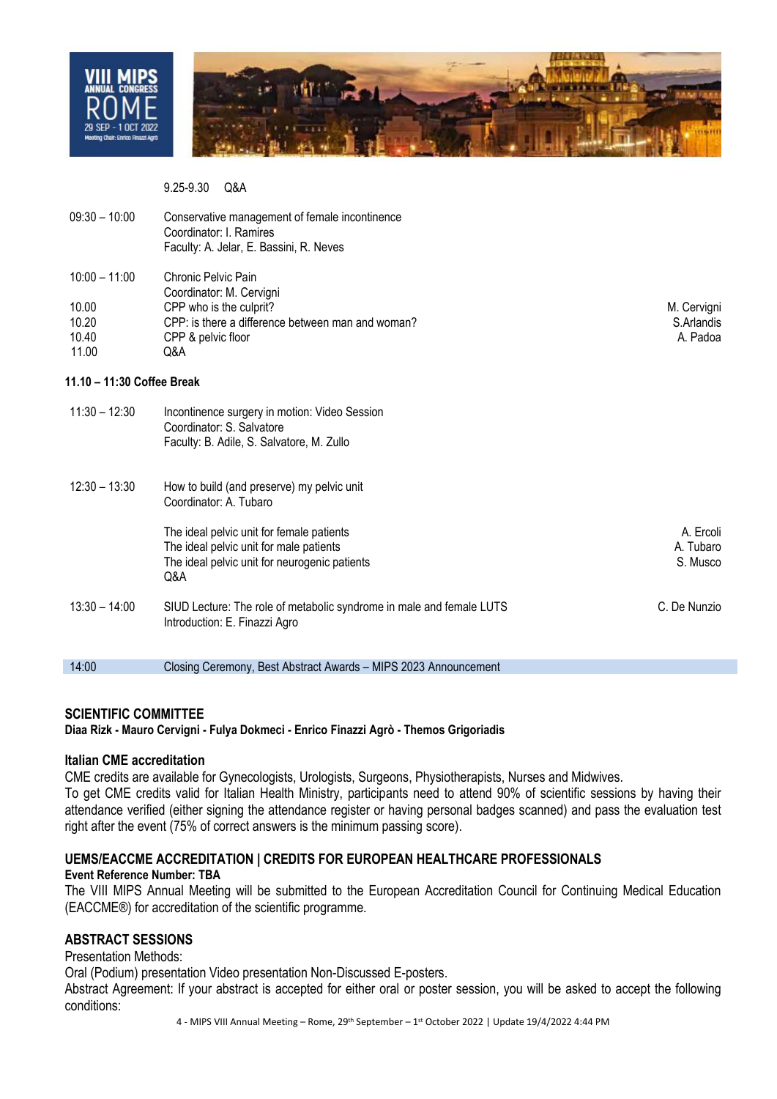



9.25-9.30 Q&A

| $09:30 - 10:00$                                     | Conservative management of female incontinence<br>Coordinator: I. Ramires<br>Faculty: A. Jelar, E. Bassini, R. Neves                                         |                                       |
|-----------------------------------------------------|--------------------------------------------------------------------------------------------------------------------------------------------------------------|---------------------------------------|
| $10:00 - 11:00$<br>10.00<br>10.20<br>10.40<br>11.00 | Chronic Pelvic Pain<br>Coordinator: M. Cervigni<br>CPP who is the culprit?<br>CPP: is there a difference between man and woman?<br>CPP & pelvic floor<br>Q&A | M. Cervigni<br>S.Arlandis<br>A. Padoa |
| 11.10 – 11:30 Coffee Break                          |                                                                                                                                                              |                                       |
| $11:30 - 12:30$                                     | Incontinence surgery in motion: Video Session<br>Coordinator: S. Salvatore<br>Faculty: B. Adile, S. Salvatore, M. Zullo                                      |                                       |
| $12:30 - 13:30$                                     | How to build (and preserve) my pelvic unit<br>Coordinator: A. Tubaro                                                                                         |                                       |
|                                                     | The ideal pelvic unit for female patients<br>The ideal pelvic unit for male patients<br>The ideal pelvic unit for neurogenic patients<br>Q&A                 | A. Ercoli<br>A. Tubaro<br>S. Musco    |
| $13:30 - 14:00$                                     | SIUD Lecture: The role of metabolic syndrome in male and female LUTS<br>Introduction: E. Finazzi Agro                                                        | C. De Nunzio                          |

### **SCIENTIFIC COMMITTEE**

**Diaa Rizk - Mauro Cervigni - Fulya Dokmeci - Enrico Finazzi Agrò - Themos Grigoriadis**

14:00 Closing Ceremony, Best Abstract Awards – MIPS 2023 Announcement

### **Italian CME accreditation**

CME credits are available for Gynecologists, Urologists, Surgeons, Physiotherapists, Nurses and Midwives. To get CME credits valid for Italian Health Ministry, participants need to attend 90% of scientific sessions by having their attendance verified (either signing the attendance register or having personal badges scanned) and pass the evaluation test right after the event (75% of correct answers is the minimum passing score).

## **UEMS/EACCME ACCREDITATION | CREDITS FOR EUROPEAN HEALTHCARE PROFESSIONALS**

### **Event Reference Number: TBA**

The VIII MIPS Annual Meeting will be submitted to the European Accreditation Council for Continuing Medical Education (EACCME®) for accreditation of the scientific programme.

## **ABSTRACT SESSIONS**

### Presentation Methods:

Oral (Podium) presentation Video presentation Non-Discussed E-posters.

Abstract Agreement: If your abstract is accepted for either oral or poster session, you will be asked to accept the following conditions: